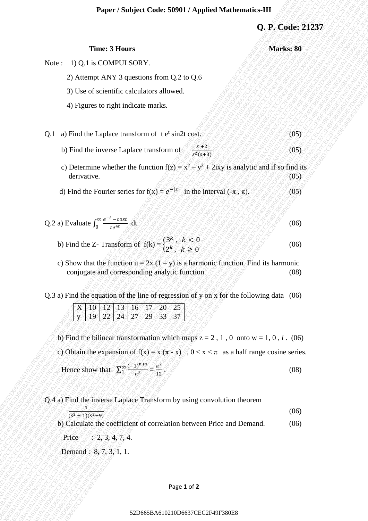**Q. P. Code: 21237**

### **Time: 3 Hours Marks: 80**

- 
- Note : 1) Q.1 is COMPULSORY.
	- 2) Attempt ANY 3 questions from Q.2 to Q.6
	- 3) Use of scientific calculators allowed.
	- 4) Figures to right indicate marks.
- Q.1 a) Find the Laplace transform of t et sin2t cost.  $\frac{1}{2}$   $\frac{1}{2}$   $\frac{1}{2}$   $\frac{1}{2}$   $\frac{1}{2}$   $\frac{1}{2}$   $\frac{1}{2}$   $\frac{1}{2}$   $\frac{1}{2}$   $\frac{1}{2}$   $\frac{1}{2}$   $\frac{1}{2}$   $\frac{1}{2}$   $\frac{1}{2}$   $\frac{1}{2}$   $\frac{1}{2}$   $\frac{1}{2$
- b) Find the inverse Laplace transform of  $s+2$  $s^2(s+3)$ (05)
- c) Determine whether the function  $f(z) = x^2 y^2 + 2ixy$  is analytic and if so find its  $\mathcal{C} \times \mathcal{C} \times \mathcal{C} \times \mathcal{S} \times \mathcal{S} \times \mathcal{S} \times \mathcal{S} \times \mathcal{S} \times \mathcal{S} \times \mathcal{S} \times \mathcal{S} \times \mathcal{S} \times \mathcal{S} \times \mathcal{S} \times \mathcal{S} \times \mathcal{S} \times \mathcal{S} \times \mathcal{S} \times \mathcal{S} \times \mathcal{S} \times \mathcal{S} \times \mathcal{S} \times \mathcal{S} \times \mathcal{S} \times \mathcal{S} \times \mathcal{S} \times \mathcal{S} \times \mathcal{$
- d) Find the Fourier series for  $f(x) = e^{-|x|}$  in the interval  $(-\pi, \pi)$ .
- **12D66** 3 Decrees 10.001888 CEC2F49F380E86<br>
21 Alemany ANY 3 questions from 0.2 to 0.4 <br>
31 Use of statistical celebrations and social<br>
11 Figures to relate for celebrations and social<br>
11 Pigures to relate the distributi **1210 CFC**<br>
52 Afrong LAPY 3 operation from Q.2 to 0.6<br>
53 Afrong LAPY 3 operation from Q.2 to 0.6<br>
53 Use of verteints calculate matches<br>
4) Figures us inplications and test shares.<br>
4) Figures us inplicate matches<br>
10 **EXECCE 2D EXECT49**<br>
Some : 10.0, in COMPLEXORY.<br>
2) Attempt ANY 3 questions the form of  $Q \ge 0$  Q Q<br>
3) Use of issignative statistics exclusive and solved.<br>
4) Prigme to a refuge the method of  $\frac{\omega_1^2 \omega_1^2}{\sqrt{\omega_1^2 \omega_$ **12.** These 3 Hores<br>
Note: 10 Q1 is converted account of the simulation of the set of the set of the set of the set of the set of the set of the set of the set of the set of the set of the set of the set of the set of the **Experimentally and Convention Convention Convention Convention C**<br>
3. Accepted Move 2011 D66381<br>
3. Accepted Move 2011 D66381 Random<br>
4. Figures to right includes allowed<br>
4. Figures to right includes and convention of t **Fager / Subject Code: 39901 / Applied Mathematic-T1<br>
BA62 11 001 16 COMPULSORY.**<br>
23 Adenois and the activities and there are also that interest and the set of the stress of the stress of the stress of the stress of the **Fager / Studiert Code: 590014 Applied Muthermatics-III<br>
2. December 1976, 1. is COMPUT SONY.**<br>
2. There is considered above these these these these these states of the state is the state of the state of the state of the **Frome:** Subject Code: 59901 / Applied Mathematics-III<br> **EVALUATION CONTENTS CONTENTS CONTENTS (2014)**<br> **EVALUATION CONTENTS CONTENTS (2014)**<br>
The solicition of contents from Q-196 0.<br> **EVALUATION CONTENTS CONTENTS**<br>
(3) **From F30031021 Code 889611** Applied Vinthermate-FHT<br>
Co. **P.** Code 21237<br>
Time: 11.0 Fit COMPLESORY<br>
2) Attention NATO Spaces in the material of the second state of the second state of the second state and state of the s **From F30031021 Code 889611** Applied Vinthermate-FHT<br>
Co. **P.** Code 21237<br>
Time: 11.0 Fit COMPLESORY<br>
2) Attention NATO Spaces in the material of the second state of the second state of the second state and state of the s **From: 7 Subject Code: 50961** 1 Applied Mathematic-HT<br> **C.P. Code: 21237**<br>
Time: 2.10 (1 is COMPLESORY).<br>
2.3 Olso of recontine substant from C2 to G6<br>
3. Olso of recontine substants and subsets<br>
4. Flignes in right indic **Frome 5 Study CF Code 5809E1** Applied Mathematics-LIII<br> **CFC** 10. **CFC** 11. **CFC** 11. **CFC** 12. **CFC**<br>
2) Alternative Mathematical function of L2 and CFC<br>
2) User of experimental developments and the second<br>
41. a Final **Fager / Sudgett Order 59991 / Applied Mathematics -111**<br> **CF, Code: 21237**<br> **CF** A610313 21 is COMPLISORY.<br>
2) Australian calculation is however.<br>
2) Australian calculation is allowed.<br>
4) Figures to right indicate mathe **Experime 3 Studies 8 OR CEC2F49F380E8**<br> **S2P. Code: 31237**<br>
Time: STImen ABVY 3 agastions Franch O.2 to O.8<br>
3.) Martin Code 21237<br>
2.3 Assember May The station and CE2F49<br>
4.3 The properties of the indicate marks.<br>
Q.1 **Faguer Nodeles Strongs A61** Applied Mathematics-tilt<br> **50. P. Code 21237**<br>
Thus: 31 O.1 a COMPLESONY.<br>
2) Alternative New Q2.to Q6<br>
3) The of vertical conduction allows<br>
4) Figures to giard independent and Case.<br>
4) Figu Fuger / Sariget *Charles SW90* L Applied Mathematics ATE<br> **32. From 31 Henry**<br>
Note: 13 O.1 is COMPULSORY.<br>
23 Alternative NAY 3 questions hence 0.2 to 0.4<br>
3) User of schedules basebase tanks on<br>
43. The process Lag ba **Funce 3 D666**<br> **CFC Control COMPUT SORY**<br>
Trime: **3. Humac**<br>
Novec 10. Q.1 is COVIPUT SORY<br>
2) Also of scientific collections allowed<br>
4) Based of scientific collections allowed<br>
4) Based of scientific collections and ou **Funct / Subject Code: 8000.** / Applied Mathematics-III<br> **12. P.** Code: 21237<br> **13. Code:** 21337<br> **13. Code:** 21337<br> **13. Code:** 21337<br> **13. Code:** 418612. **Code:** 4186102. **Code:** 41862. **Code:**<br> **13. Exact o Expect /Subject Code: 5090.1 / Applied Mathematics-III**<br> **C.P. Code: 21237**<br>
Note: 1 (Q.1 is COMPULSORY).<br>
2) Alternative Stration Fund Q.2 to Q.6<br>
3) Use of statistic catalation affected<br>
4) Figures to replie technical **Example 7 Subject Code: 50901 / Applied Mathematics-III**<br> **True:** 310ars<br>
Note: 10.01 is COMPUTASONY.<br>
2) Arrespe MNY 3 questions from 0.2 to 0.6<br>
3) Use of sicknific calculations allowed.<br>
4) Figures to right indicate m Q.2 a) Evaluate  $\int_0^\infty \frac{e^{-t} - \cos t}{t e^{a t}}$  $te^{4t}$ ∞ 0 dt (06)
	- b) Find the Z- Transform of  $f(k) = \begin{cases} 3^k, & k < 0 \\ 2^k, & k > 0 \end{cases}$  $2^k$ ,  $k \geq 0$ (06)
		- c) Show that the function  $u = 2x (1 y)$  is a harmonic function. Find its harmonic conjugate and corresponding analytic function.  $\sqrt{8}$
	- Q.3 a) Find the equation of the line of regression of y on x for the following data (06)

|  |  |  | $12$ <sup>13</sup> 16 17 20 25 |  |
|--|--|--|--------------------------------|--|
|  |  |  | 19 22 24 27 29 33 37           |  |

b) Find the bilinear transformation which maps  $z = 2, 1, 0$  onto  $w = 1, 0, i$ . (06) c) Obtain the expansion of  $f(x) = x(\pi - x)$ ,  $0 \le x \le \pi$  as a half range cosine series.

Hence show that  $\sum_{1}^{\infty} \frac{(-1)^{n+1}}{n}$  $n^2$  $\frac{\infty}{1} \frac{(-1)^{n+1}}{n^2} = \frac{\pi^2}{12}$ 12 .  $\sim$  (08)

Q.4 a) Find the inverse Laplace Transform by using convolution theorem

$$
\frac{8}{(s^2+1)(s^2+9)} \tag{06}
$$

b) Calculate the coefficient of correlation between Price and Demand. (06)

Price : 2, 3, 4, 7, 4.

Demand : 8, 7, 3, 1, 1.

Page **1** of **2**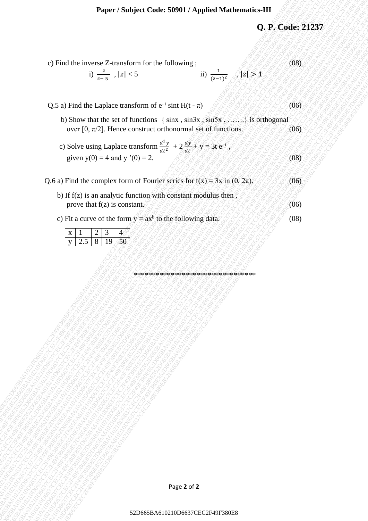**Q. P. Code: 21237**

52D665BA610210D6637CEC2F49F380E852D665BA610210D6637CEC2F49F380E852D665BA610210D6637CEC2F49F380E852D665BA610210D6637CEC2F49F380E852D665BA610210D6637CEC2F49F380E852D665BA610210D6637CEC2F49F380E8 52D665BA610210D6637CEC2F49F380E852D665BA610210D6637CEC2F49F380E852D665BA610210D6637CEC2F49F380E852D665BA610210D6637CEC2F49F380E852D665BA610210D6637CEC2F49F380E852D665BA610210D6637CEC2F49F380E8 52D665BA610210D6637CEC2F49F380E852D665BA610210D6637CEC2F49F380E852D665BA610210D6637CEC2F49F380E852D665BA610210D6637CEC2F49F380E852D665BA610210D6637CEC2F49F380E852D665BA610210D6637CEC2F49F380E8 52D665BA610210D6637CEC2F49F380E852D665BA610210D6637CEC2F49F380E852D665BA610210D6637CEC2F49F380E852D665BA610210D6637CEC2F49F380E852D665BA610210D6637CEC2F49F380E852D665BA610210D6637CEC2F49F380E8 52D665BA610210D6637CEC2F49F380E852D665BA610210D6637CEC2F49F380E852D665BA610210D6637CEC2F49F380E852D665BA610210D6637CEC2F49F380E852D665BA610210D6637CEC2F49F380E852D665BA610210D6637CEC2F49F380E8 52D665BA610210D6637CEC2F49F380E852D665BA610210D6637CEC2F49F380E852D665BA610210D6637CEC2F49F380E852D665BA610210D6637CEC2F49F380E852D665BA610210D6637CEC2F49F380E852D665BA610210D6637CEC2F49F380E8 52D665BA610210D6637CEC2F49F380E852D665BA610210D6637CEC2F49F380E852D665BA610210D6637CEC2F49F380E852D665BA610210D6637CEC2F49F380E852D665BA610210D6637CEC2F49F380E852D665BA610210D6637CEC2F49F380E8 52D665BA610210D6637CEC2F49F380E852D665BA610210D6637CEC2F49F380E852D665BA610210D6637CEC2F49F380E852D665BA610210D6637CEC2F49F380E852D665BA610210D6637CEC2F49F380E852D665BA610210D6637CEC2F49F380E8 52D665BA610210D6637CEC2F49F380E852D665BA610210D6637CEC2F49F380E852D665BA610210D6637CEC2F49F380E852D665BA610210D6637CEC2F49F380E852D665BA610210D6637CEC2F49F380E852D665BA610210D6637CEC2F49F380E8 52D665BA610210D6637CEC2F49F380E852D665BA610210D6637CEC2F49F380E852D665BA610210D6637CEC2F49F380E852D665BA610210D6637CEC2F49F380E852D665BA610210D6637CEC2F49F380E852D665BA610210D6637CEC2F49F380E8 52D665BA610210D6637CEC2F49F380E852D665BA610210D6637CEC2F49F380E852D665BA610210D6637CEC2F49F380E852D665BA610210D6637CEC2F49F380E852D665BA610210D6637CEC2F49F380E852D665BA610210D6637CEC2F49F380E8 52D665BA610210D6637CEC2F49F380E852D665BA610210D6637CEC2F49F380E852D665BA610210D6637CEC2F49F380E852D665BA610210D6637CEC2F49F380E852D665BA610210D6637CEC2F49F380E852D665BA610210D6637CEC2F49F380E8 52D665BA610210D6637CEC2F49F380E852D665BA610210D6637CEC2F49F380E852D665BA610210D6637CEC2F49F380E852D665BA610210D6637CEC2F49F380E852D665BA610210D6637CEC2F49F380E852D665BA610210D6637CEC2F49F380E8 52D665BA610210D6637CEC2F49F380E852D665BA610210D6637CEC2F49F380E852D665BA610210D6637CEC2F49F380E852D665BA610210D6637CEC2F49F380E852D665BA610210D6637CEC2F49F380E852D665BA610210D6637CEC2F49F380E8 52D665BA610210D6637CEC2F49F380E852D665BA610210D6637CEC2F49F380E852D665BA610210D6637CEC2F49F380E852D665BA610210D6637CEC2F49F380E852D665BA610210D6637CEC2F49F380E852D665BA610210D6637CEC2F49F380E8 52D665BA610210D6637CEC2F49F380E852D665BA610210D6637CEC2F49F380E852D665BA610210D6637CEC2F49F380E852D665BA610210D6637CEC2F49F380E852D665BA610210D6637CEC2F49F380E852D665BA610210D6637CEC2F49F380E8 52D665BA610210D6637CEC2F49F380E852D665BA610210D6637CEC2F49F380E852D665BA610210D6637CEC2F49F380E852D665BA610210D6637CEC2F49F380E852D665BA610210D6637CEC2F49F380E852D665BA610210D6637CEC2F49F380E8 52D665BA610210D6637CEC2F49F380E852D665BA610210D6637CEC2F49F380E852D665BA610210D6637CEC2F49F380E852D665BA610210D6637CEC2F49F380E852D665BA610210D6637CEC2F49F380E852D665BA610210D6637CEC2F49F380E8 52D665BA610210D6637CEC2F49F380E852D665BA610210D6637CEC2F49F380E852D665BA610210D6637CEC2F49F380E852D665BA610210D6637CEC2F49F380E852D665BA610210D6637CEC2F49F380E852D665BA610210D6637CEC2F49F380E8 52D665BA610210D6637CEC2F49F380E852D665BA610210D6637CEC2F49F380E852D665BA610210D6637CEC2F49F380E852D665BA610210D6637CEC2F49F380E852D665BA610210D6637CEC2F49F380E852D665BA610210D6637CEC2F49F380E8 c) Find the inverse Z-transform for the following ; (08) i) − 5 , || < 5 ii) <sup>1</sup> (−1) 2 , || > 1 Q.5 a) Find the Laplace transform of e - t sint H(t - π) (06) b) Show that the set of functions { sinx , sin3x , sin5x , …….} is orthogonal over [0, π/2]. Hence construct orthonormal set of functions. (06) c) Solve using Laplace transform 2 2 + 2 + y = 3t e - t , given y(0) = 4 and y '(0) = 2. (08) Q.6 a) Find the complex form of Fourier series for f(x) = 3x in (0, 2π). (06) b) If f(z) is an analytic function with constant modulus then , prove that f(z) is constant. (06) c) Fit a curve of the form y = ax<sup>b</sup> to the following data. (08)

|  | L |  |
|--|---|--|

\*\*\*\*\*\*\*\*\*\*\*\*\*\*\*\*\*\*\*\*\*\*\*\*\*\*\*\*\*\*\*\*\*

Page **2** of **2**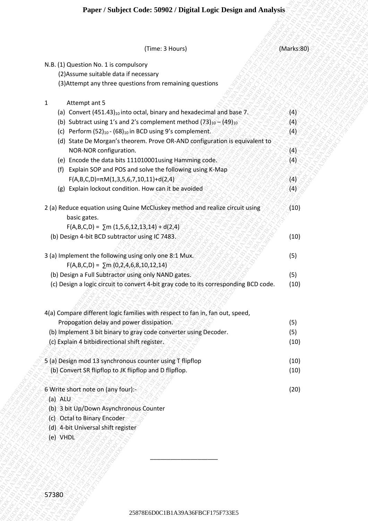| (2) Assume suitable data if necessary<br>(3) Attempt any three questions from remaining questions<br>Attempt ant 5<br>(a) Convert (451.43) <sub>10</sub> into octal, binary and hexadecimal and base 7.<br>(4)<br>(b) Subtract using 1's and 2's complement method $(73)_{10}$ - $(49)_{10}$<br>(4)<br>(4)<br>(c) Perform $(52)_{10}$ - $(68)_{10}$ in BCD using 9's complement.<br>(d) State De Morgan's theorem. Prove OR-AND configuration is equivalent to<br>NOR-NOR configuration.<br>(4)<br>(e) Encode the data bits 111010001using Hamming code.<br>(4)<br>Explain SOP and POS and solve the following using K-Map<br>(f)<br>$F(A,B,C,D)=\pi M(1,3,5,6,7,10,11)+d(2,4)$<br>$\langle 4 \rangle$<br>(g) Explain lockout condition. How can it be avoided<br>(4)<br>(10)<br>basic gates.<br>$F(A,B,C,D) = \sum m(1,5,6,12,13,14) + d(2,4)$<br>(b) Design 4-bit BCD subtractor using IC 7483.<br>(10)<br>(5)<br>$F(A,B,C,D) = \sum m(0,2,4,6,8,10,12,14)$<br>(b) Design a Full Subtractor using only NAND gates.<br>(5)<br>(c) Design a logic circuit to convert 4-bit gray code to its corresponding BCD code.<br>(10)<br>Propogation delay and power dissipation.<br>(5)<br>(b) Implement 3 bit binary to gray code converter using Decoder.<br>(5)<br>(c) Explain 4 bitbidirectional shift register.<br>(10)<br>(10)<br>(b) Convert SR flipflop to JK flipflop and D flipflop.<br>(10)<br>(20)<br>(a) ALU<br>(b) 3 bit Up/Down Asynchronous Counter<br>(c) Octal to Binary Encoder<br>(d) 4-bit Universal shift register<br>(e) VHDL | N.B. (1) Question No. 1 is compulsory<br>$\mathbf{1}$<br>2 (a) Reduce equation using Quine McCluskey method and realize circuit using<br>3 (a) Implement the following using only one 8:1 Mux.<br>4(a) Compare different logic families with respect to fan in, fan out, speed,<br>5 (a) Design mod 13 synchronous counter using T flipflop<br>6 Write short note on (any four):-<br>57380<br>25878E6D0C1B1A39A36FBCF175F733E5 |                 |            |
|---------------------------------------------------------------------------------------------------------------------------------------------------------------------------------------------------------------------------------------------------------------------------------------------------------------------------------------------------------------------------------------------------------------------------------------------------------------------------------------------------------------------------------------------------------------------------------------------------------------------------------------------------------------------------------------------------------------------------------------------------------------------------------------------------------------------------------------------------------------------------------------------------------------------------------------------------------------------------------------------------------------------------------------------------------------------------------------------------------------------------------------------------------------------------------------------------------------------------------------------------------------------------------------------------------------------------------------------------------------------------------------------------------------------------------------------------------------------------------------------------------------------------------------------|--------------------------------------------------------------------------------------------------------------------------------------------------------------------------------------------------------------------------------------------------------------------------------------------------------------------------------------------------------------------------------------------------------------------------------|-----------------|------------|
|                                                                                                                                                                                                                                                                                                                                                                                                                                                                                                                                                                                                                                                                                                                                                                                                                                                                                                                                                                                                                                                                                                                                                                                                                                                                                                                                                                                                                                                                                                                                             |                                                                                                                                                                                                                                                                                                                                                                                                                                | (Time: 3 Hours) | (Marks:80) |
|                                                                                                                                                                                                                                                                                                                                                                                                                                                                                                                                                                                                                                                                                                                                                                                                                                                                                                                                                                                                                                                                                                                                                                                                                                                                                                                                                                                                                                                                                                                                             |                                                                                                                                                                                                                                                                                                                                                                                                                                |                 |            |
|                                                                                                                                                                                                                                                                                                                                                                                                                                                                                                                                                                                                                                                                                                                                                                                                                                                                                                                                                                                                                                                                                                                                                                                                                                                                                                                                                                                                                                                                                                                                             |                                                                                                                                                                                                                                                                                                                                                                                                                                |                 |            |
|                                                                                                                                                                                                                                                                                                                                                                                                                                                                                                                                                                                                                                                                                                                                                                                                                                                                                                                                                                                                                                                                                                                                                                                                                                                                                                                                                                                                                                                                                                                                             |                                                                                                                                                                                                                                                                                                                                                                                                                                |                 |            |
|                                                                                                                                                                                                                                                                                                                                                                                                                                                                                                                                                                                                                                                                                                                                                                                                                                                                                                                                                                                                                                                                                                                                                                                                                                                                                                                                                                                                                                                                                                                                             |                                                                                                                                                                                                                                                                                                                                                                                                                                |                 |            |
|                                                                                                                                                                                                                                                                                                                                                                                                                                                                                                                                                                                                                                                                                                                                                                                                                                                                                                                                                                                                                                                                                                                                                                                                                                                                                                                                                                                                                                                                                                                                             |                                                                                                                                                                                                                                                                                                                                                                                                                                |                 |            |
|                                                                                                                                                                                                                                                                                                                                                                                                                                                                                                                                                                                                                                                                                                                                                                                                                                                                                                                                                                                                                                                                                                                                                                                                                                                                                                                                                                                                                                                                                                                                             |                                                                                                                                                                                                                                                                                                                                                                                                                                |                 |            |
|                                                                                                                                                                                                                                                                                                                                                                                                                                                                                                                                                                                                                                                                                                                                                                                                                                                                                                                                                                                                                                                                                                                                                                                                                                                                                                                                                                                                                                                                                                                                             |                                                                                                                                                                                                                                                                                                                                                                                                                                |                 |            |
|                                                                                                                                                                                                                                                                                                                                                                                                                                                                                                                                                                                                                                                                                                                                                                                                                                                                                                                                                                                                                                                                                                                                                                                                                                                                                                                                                                                                                                                                                                                                             |                                                                                                                                                                                                                                                                                                                                                                                                                                |                 |            |
|                                                                                                                                                                                                                                                                                                                                                                                                                                                                                                                                                                                                                                                                                                                                                                                                                                                                                                                                                                                                                                                                                                                                                                                                                                                                                                                                                                                                                                                                                                                                             |                                                                                                                                                                                                                                                                                                                                                                                                                                |                 |            |
|                                                                                                                                                                                                                                                                                                                                                                                                                                                                                                                                                                                                                                                                                                                                                                                                                                                                                                                                                                                                                                                                                                                                                                                                                                                                                                                                                                                                                                                                                                                                             |                                                                                                                                                                                                                                                                                                                                                                                                                                |                 |            |
|                                                                                                                                                                                                                                                                                                                                                                                                                                                                                                                                                                                                                                                                                                                                                                                                                                                                                                                                                                                                                                                                                                                                                                                                                                                                                                                                                                                                                                                                                                                                             |                                                                                                                                                                                                                                                                                                                                                                                                                                |                 |            |
|                                                                                                                                                                                                                                                                                                                                                                                                                                                                                                                                                                                                                                                                                                                                                                                                                                                                                                                                                                                                                                                                                                                                                                                                                                                                                                                                                                                                                                                                                                                                             |                                                                                                                                                                                                                                                                                                                                                                                                                                |                 |            |
|                                                                                                                                                                                                                                                                                                                                                                                                                                                                                                                                                                                                                                                                                                                                                                                                                                                                                                                                                                                                                                                                                                                                                                                                                                                                                                                                                                                                                                                                                                                                             |                                                                                                                                                                                                                                                                                                                                                                                                                                |                 |            |
|                                                                                                                                                                                                                                                                                                                                                                                                                                                                                                                                                                                                                                                                                                                                                                                                                                                                                                                                                                                                                                                                                                                                                                                                                                                                                                                                                                                                                                                                                                                                             |                                                                                                                                                                                                                                                                                                                                                                                                                                |                 |            |
|                                                                                                                                                                                                                                                                                                                                                                                                                                                                                                                                                                                                                                                                                                                                                                                                                                                                                                                                                                                                                                                                                                                                                                                                                                                                                                                                                                                                                                                                                                                                             |                                                                                                                                                                                                                                                                                                                                                                                                                                |                 |            |
|                                                                                                                                                                                                                                                                                                                                                                                                                                                                                                                                                                                                                                                                                                                                                                                                                                                                                                                                                                                                                                                                                                                                                                                                                                                                                                                                                                                                                                                                                                                                             |                                                                                                                                                                                                                                                                                                                                                                                                                                |                 |            |
|                                                                                                                                                                                                                                                                                                                                                                                                                                                                                                                                                                                                                                                                                                                                                                                                                                                                                                                                                                                                                                                                                                                                                                                                                                                                                                                                                                                                                                                                                                                                             |                                                                                                                                                                                                                                                                                                                                                                                                                                |                 |            |
|                                                                                                                                                                                                                                                                                                                                                                                                                                                                                                                                                                                                                                                                                                                                                                                                                                                                                                                                                                                                                                                                                                                                                                                                                                                                                                                                                                                                                                                                                                                                             |                                                                                                                                                                                                                                                                                                                                                                                                                                |                 |            |
|                                                                                                                                                                                                                                                                                                                                                                                                                                                                                                                                                                                                                                                                                                                                                                                                                                                                                                                                                                                                                                                                                                                                                                                                                                                                                                                                                                                                                                                                                                                                             |                                                                                                                                                                                                                                                                                                                                                                                                                                |                 |            |
|                                                                                                                                                                                                                                                                                                                                                                                                                                                                                                                                                                                                                                                                                                                                                                                                                                                                                                                                                                                                                                                                                                                                                                                                                                                                                                                                                                                                                                                                                                                                             |                                                                                                                                                                                                                                                                                                                                                                                                                                |                 |            |
|                                                                                                                                                                                                                                                                                                                                                                                                                                                                                                                                                                                                                                                                                                                                                                                                                                                                                                                                                                                                                                                                                                                                                                                                                                                                                                                                                                                                                                                                                                                                             |                                                                                                                                                                                                                                                                                                                                                                                                                                |                 |            |
|                                                                                                                                                                                                                                                                                                                                                                                                                                                                                                                                                                                                                                                                                                                                                                                                                                                                                                                                                                                                                                                                                                                                                                                                                                                                                                                                                                                                                                                                                                                                             |                                                                                                                                                                                                                                                                                                                                                                                                                                |                 |            |
|                                                                                                                                                                                                                                                                                                                                                                                                                                                                                                                                                                                                                                                                                                                                                                                                                                                                                                                                                                                                                                                                                                                                                                                                                                                                                                                                                                                                                                                                                                                                             |                                                                                                                                                                                                                                                                                                                                                                                                                                |                 |            |
|                                                                                                                                                                                                                                                                                                                                                                                                                                                                                                                                                                                                                                                                                                                                                                                                                                                                                                                                                                                                                                                                                                                                                                                                                                                                                                                                                                                                                                                                                                                                             |                                                                                                                                                                                                                                                                                                                                                                                                                                |                 |            |
|                                                                                                                                                                                                                                                                                                                                                                                                                                                                                                                                                                                                                                                                                                                                                                                                                                                                                                                                                                                                                                                                                                                                                                                                                                                                                                                                                                                                                                                                                                                                             |                                                                                                                                                                                                                                                                                                                                                                                                                                |                 |            |
|                                                                                                                                                                                                                                                                                                                                                                                                                                                                                                                                                                                                                                                                                                                                                                                                                                                                                                                                                                                                                                                                                                                                                                                                                                                                                                                                                                                                                                                                                                                                             |                                                                                                                                                                                                                                                                                                                                                                                                                                |                 |            |
|                                                                                                                                                                                                                                                                                                                                                                                                                                                                                                                                                                                                                                                                                                                                                                                                                                                                                                                                                                                                                                                                                                                                                                                                                                                                                                                                                                                                                                                                                                                                             |                                                                                                                                                                                                                                                                                                                                                                                                                                |                 |            |
|                                                                                                                                                                                                                                                                                                                                                                                                                                                                                                                                                                                                                                                                                                                                                                                                                                                                                                                                                                                                                                                                                                                                                                                                                                                                                                                                                                                                                                                                                                                                             |                                                                                                                                                                                                                                                                                                                                                                                                                                |                 |            |
|                                                                                                                                                                                                                                                                                                                                                                                                                                                                                                                                                                                                                                                                                                                                                                                                                                                                                                                                                                                                                                                                                                                                                                                                                                                                                                                                                                                                                                                                                                                                             |                                                                                                                                                                                                                                                                                                                                                                                                                                |                 |            |
|                                                                                                                                                                                                                                                                                                                                                                                                                                                                                                                                                                                                                                                                                                                                                                                                                                                                                                                                                                                                                                                                                                                                                                                                                                                                                                                                                                                                                                                                                                                                             |                                                                                                                                                                                                                                                                                                                                                                                                                                |                 |            |
|                                                                                                                                                                                                                                                                                                                                                                                                                                                                                                                                                                                                                                                                                                                                                                                                                                                                                                                                                                                                                                                                                                                                                                                                                                                                                                                                                                                                                                                                                                                                             |                                                                                                                                                                                                                                                                                                                                                                                                                                |                 |            |
|                                                                                                                                                                                                                                                                                                                                                                                                                                                                                                                                                                                                                                                                                                                                                                                                                                                                                                                                                                                                                                                                                                                                                                                                                                                                                                                                                                                                                                                                                                                                             |                                                                                                                                                                                                                                                                                                                                                                                                                                |                 |            |
|                                                                                                                                                                                                                                                                                                                                                                                                                                                                                                                                                                                                                                                                                                                                                                                                                                                                                                                                                                                                                                                                                                                                                                                                                                                                                                                                                                                                                                                                                                                                             |                                                                                                                                                                                                                                                                                                                                                                                                                                |                 |            |
|                                                                                                                                                                                                                                                                                                                                                                                                                                                                                                                                                                                                                                                                                                                                                                                                                                                                                                                                                                                                                                                                                                                                                                                                                                                                                                                                                                                                                                                                                                                                             |                                                                                                                                                                                                                                                                                                                                                                                                                                |                 |            |
|                                                                                                                                                                                                                                                                                                                                                                                                                                                                                                                                                                                                                                                                                                                                                                                                                                                                                                                                                                                                                                                                                                                                                                                                                                                                                                                                                                                                                                                                                                                                             |                                                                                                                                                                                                                                                                                                                                                                                                                                |                 |            |
|                                                                                                                                                                                                                                                                                                                                                                                                                                                                                                                                                                                                                                                                                                                                                                                                                                                                                                                                                                                                                                                                                                                                                                                                                                                                                                                                                                                                                                                                                                                                             |                                                                                                                                                                                                                                                                                                                                                                                                                                |                 |            |
|                                                                                                                                                                                                                                                                                                                                                                                                                                                                                                                                                                                                                                                                                                                                                                                                                                                                                                                                                                                                                                                                                                                                                                                                                                                                                                                                                                                                                                                                                                                                             |                                                                                                                                                                                                                                                                                                                                                                                                                                |                 |            |
|                                                                                                                                                                                                                                                                                                                                                                                                                                                                                                                                                                                                                                                                                                                                                                                                                                                                                                                                                                                                                                                                                                                                                                                                                                                                                                                                                                                                                                                                                                                                             |                                                                                                                                                                                                                                                                                                                                                                                                                                |                 |            |
|                                                                                                                                                                                                                                                                                                                                                                                                                                                                                                                                                                                                                                                                                                                                                                                                                                                                                                                                                                                                                                                                                                                                                                                                                                                                                                                                                                                                                                                                                                                                             |                                                                                                                                                                                                                                                                                                                                                                                                                                |                 |            |
|                                                                                                                                                                                                                                                                                                                                                                                                                                                                                                                                                                                                                                                                                                                                                                                                                                                                                                                                                                                                                                                                                                                                                                                                                                                                                                                                                                                                                                                                                                                                             |                                                                                                                                                                                                                                                                                                                                                                                                                                |                 |            |
|                                                                                                                                                                                                                                                                                                                                                                                                                                                                                                                                                                                                                                                                                                                                                                                                                                                                                                                                                                                                                                                                                                                                                                                                                                                                                                                                                                                                                                                                                                                                             |                                                                                                                                                                                                                                                                                                                                                                                                                                |                 |            |
|                                                                                                                                                                                                                                                                                                                                                                                                                                                                                                                                                                                                                                                                                                                                                                                                                                                                                                                                                                                                                                                                                                                                                                                                                                                                                                                                                                                                                                                                                                                                             |                                                                                                                                                                                                                                                                                                                                                                                                                                |                 |            |
|                                                                                                                                                                                                                                                                                                                                                                                                                                                                                                                                                                                                                                                                                                                                                                                                                                                                                                                                                                                                                                                                                                                                                                                                                                                                                                                                                                                                                                                                                                                                             |                                                                                                                                                                                                                                                                                                                                                                                                                                |                 |            |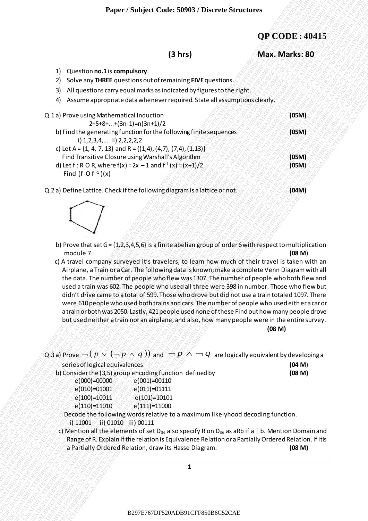## **QP CODE : 40415**

- 1) Question **no.1**is **compulsory**.
- 2) Solve any **THREE** questions out of remaining **FIVE**questions.
- 3) All questions carry equal marks as indicated by figures to the right.
- 4) Assume appropriate data whenever required. State all assumptions clearly.

| Q.1 a) Prove using Mathematical Induction                                  | (05M) |
|----------------------------------------------------------------------------|-------|
| $2+5+8++(3n-1)=n(3n+1)/2$                                                  |       |
| b) Find the generating function for the following finite sequences         | (05M) |
| i) $1, 2, 3, 4, \ldots$ ii) $2, 2, 2, 2, 2$                                |       |
| c) Let A = {1, 4, 7, 13} and R = {(1,4), (4,7), (7,4), (1,13)}             |       |
| Find Transitive Closure using Warshall's Algorithm                         | (05M) |
| d) Let f: R O R, where $f(x) = 2x - 1$ and $f^{-1}(x) = (x+1)/2$           | (05M) |
| Find (f O $f^{-1}$ )(x)                                                    |       |
|                                                                            |       |
| Q.2 a) Define Lattice. Check if the following diagram is a lattice or not. | (04M) |

- b) Prove that set  $G = \{1,2,3,4,5,6\}$  is a finite abelian group of order 6 with respect to multiplication module 7 **(08 M**)
- c) A travel company surveyed it's travelers, to learn how much of their travel is taken with an Airplane, a Train or a Car. The following data is known; make a complete Venn Diagram with all the data. The number of people who flew was 1307. The number of people who both flew and used a train was 602. The people who used all three were 398 in number. Those who flew but didn't drive came to a total of 599. Those who drove but did not use a train totaled 1097. There were 610 people who used both trains and cars. The number of people who used either a car or a train or both was 2050. Lastly, 421 people used none of these Find out how many people drove but used neither a train nor an airplane, and also, how many people were in the entire survey.

|                                                                                                                                                                                                                                                                                                                                                                                                                                                                                                                                                                                                                                                                                                                                                                                                                                                                                                                                | <b>QP CODE: 40415</b>                                                                              |
|--------------------------------------------------------------------------------------------------------------------------------------------------------------------------------------------------------------------------------------------------------------------------------------------------------------------------------------------------------------------------------------------------------------------------------------------------------------------------------------------------------------------------------------------------------------------------------------------------------------------------------------------------------------------------------------------------------------------------------------------------------------------------------------------------------------------------------------------------------------------------------------------------------------------------------|----------------------------------------------------------------------------------------------------|
| (3 hr)                                                                                                                                                                                                                                                                                                                                                                                                                                                                                                                                                                                                                                                                                                                                                                                                                                                                                                                         | Max. Marks: 80                                                                                     |
| Question no.1 is compulsory.<br>1)<br>Solve any THREE questions out of remaining FIVE questions.<br>2)<br>All questions carry equal marks as indicated by figures to the right.<br>3)<br>Assume appropriate data whenever required. State all assumptions clearly.<br>4)                                                                                                                                                                                                                                                                                                                                                                                                                                                                                                                                                                                                                                                       |                                                                                                    |
| Q.1 a) Prove using Mathematical Induction<br>$2+5+8++(3n-1)=n(3n+1)/2$                                                                                                                                                                                                                                                                                                                                                                                                                                                                                                                                                                                                                                                                                                                                                                                                                                                         | (05M)                                                                                              |
| b) Find the generating function for the following finite sequences<br>i) $1, 2, 3, 4, \ldots$ ii) $2, 2, 2, 2, 2$                                                                                                                                                                                                                                                                                                                                                                                                                                                                                                                                                                                                                                                                                                                                                                                                              | (05M)                                                                                              |
| c) Let A = {1, 4, 7, 13} and R = {(1,4), (4,7), (7,4), (1,13)}<br>Find Transitive Closure using Warshall's Algorithm<br>d) Let f: R O R, where $f(x) = 2x - 1$ and $f^{-1}(x) = (x+1)/2$<br>Find (f O f <sup>-1</sup> )(x)                                                                                                                                                                                                                                                                                                                                                                                                                                                                                                                                                                                                                                                                                                     | (05M)<br>(05M)                                                                                     |
| Q.2 a) Define Lattice. Check if the following diagram is a lattice or not.                                                                                                                                                                                                                                                                                                                                                                                                                                                                                                                                                                                                                                                                                                                                                                                                                                                     | (04M)                                                                                              |
| b) Prove that set $G = \{1,2,3,4,5,6\}$ is a finite abelian group of order 6 with respect to multiplication<br>module 7<br>c) A travel company surveyed it's travelers, to learn how much of their travel is taken with an<br>Airplane, a Train or a Car. The following data is known; make a complete Venn Diagram with all<br>the data. The number of people who flew was 1307. The number of people who both flew and<br>used a train was 602. The people who used all three were 398 in number. Those who flew but<br>didn't drive came to a total of 599. Those who drove but did not use a train totaled 1097. There<br>were 610 people who used both trains and cars. The number of people who used either a car or<br>a train or both was 2050. Lastly, 421 people used none of these Find out how many people drove<br>but used neither a train nor an airplane, and also, how many people were in the entire survey. | (08 M)<br>(08 M)                                                                                   |
|                                                                                                                                                                                                                                                                                                                                                                                                                                                                                                                                                                                                                                                                                                                                                                                                                                                                                                                                |                                                                                                    |
| Q.3 a) Prove $\neg (p \vee (\neg p \wedge q))$ and $\neg p \wedge \neg q$ are logically equivalent by developing a<br>series of logical equivalences.<br>b) Consider the (3,5) group encoding function defined by<br>$e(000)=00000$<br>$e(001)=00110$<br>$e(010)=01001$<br>$-e(011)=01111$<br><b>Y 201</b><br>$e(100)=10011$<br>e(101)=10101<br>$e(110)=11010$<br>$e(111)=11000$                                                                                                                                                                                                                                                                                                                                                                                                                                                                                                                                               | (04 M)<br>(08 M)<br>Decode the following words relative to a maximum likelyhood decoding function. |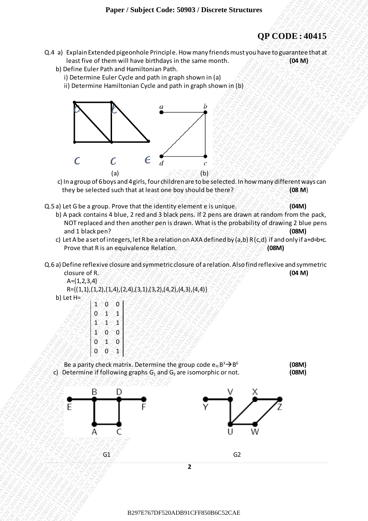# **QP CODE : 40415**

- Q.4 a) Explain Extended pigeonhole Principle. How many friends must you have to guarantee that at **least five of them will have birthdays in the same month.**  $\mathcal{O}(\mathcal{O}(\sqrt{1-\epsilon}))$ 
	- b) Define Euler Path and Hamiltonian Path.
		- i) Determine Euler Cycle and path in graph shown in (a)
		- ii) Determine Hamiltonian Cycle and path in graph shown in (b)



c) In a group of 6 boys and 4 girls, four children are to be selected. In how many different ways can they be selected such that at least one boy should be there? **(08 M)** 

- Q.5 a) Let G be a group. Prove that the identity element e is unique. **(04M)**
	- b) A pack contains 4 blue, 2 red and 3 black pens. If 2 pens are drawn at random from the pack, NOT replaced and then another pen is drawn. What is the probability of drawing 2 blue pens and 1 black pen? *TARMARMARMARMARMARM*
	- c) Let A be a set of integers, let R be a relation on AXA defined by (a,b) R (c,d) if and only if a+d=b+c. **Prove that R is an equivalence Relation. (08M)**
- Q.6 a) Define reflexive closure and symmetric closure of a relation. Also find reflexive and symmetric closure of R. **(04 M)**
	- $A = \{1, 2, 3, 4\}$

R={(1,1),(1,2),(1,4),(2,4),(3,1),(3,2),(4,2),(4,3),(4,4)}

- b) Let  $H=$  $1 \bigcirc 0$  0  $0.618.4$  $4 \times 1 \times 1$  $1^{\circ}$  0  $^{\circ}$  0  $0.100$ 
	- $0.01$

Be a parity check matrix. Determine the group code  $e_H B^3 \rightarrow B^6$ **(08M)** c) Determine if following graphs  $G_1$  and  $G_2$  are isomorphic or not. **(08M)** 

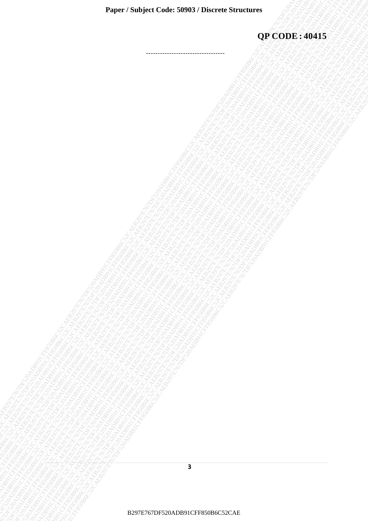----------------------------------



**3**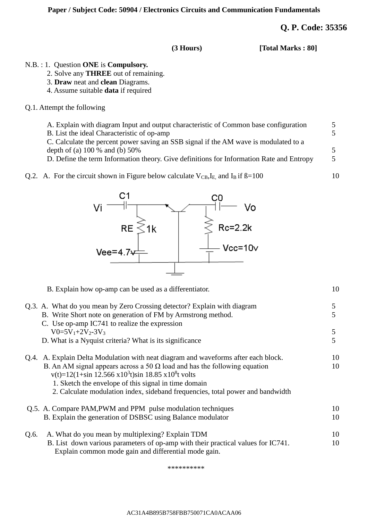## N.B. : 1. Question **ONE** is **Compulsory.**

- 2. Solve any **THREE** out of remaining.
- 3. **Draw** neat and **clean** Diagrams.
- 4. Assume suitable **data** if required

### Q.1. Attempt the following

| A. Explain with diagram Input and output characteristic of Common base configuration     | 5  |
|------------------------------------------------------------------------------------------|----|
| B. List the ideal Characteristic of op-amp                                               | .5 |
| C. Calculate the percent power saving an SSB signal if the AM wave is modulated to a     |    |
| depth of (a) $100\%$ and (b) $50\%$                                                      | 5  |
| D. Define the term Information theory. Give definitions for Information Rate and Entropy | 5  |
|                                                                                          |    |



|                                                                                                                                                                                                                                                                                                                                                                                       | Q. P. Code: 35356 |
|---------------------------------------------------------------------------------------------------------------------------------------------------------------------------------------------------------------------------------------------------------------------------------------------------------------------------------------------------------------------------------------|-------------------|
| $(3$ Hours)                                                                                                                                                                                                                                                                                                                                                                           | [Total Marks: 80] |
| N.B. : 1. Question ONE is Compulsory.<br>2. Solve any <b>THREE</b> out of remaining.<br>3. Draw neat and clean Diagrams.<br>4. Assume suitable data if required                                                                                                                                                                                                                       |                   |
| Q.1. Attempt the following                                                                                                                                                                                                                                                                                                                                                            |                   |
| A. Explain with diagram Input and output characteristic of Common base configuration<br>B. List the ideal Characteristic of op-amp<br>C. Calculate the percent power saving an SSB signal if the AM wave is modulated to a                                                                                                                                                            | 5<br>5            |
| depth of (a) $100\%$ and (b) $50\%$<br>D. Define the term Information theory. Give definitions for Information Rate and Entropy                                                                                                                                                                                                                                                       | 5<br>5            |
| Q.2. A. For the circuit shown in Figure below calculate $V_{CB}$ , I <sub>E</sub> , and I <sub>B</sub> if $\beta$ =100                                                                                                                                                                                                                                                                | 10                |
| $Rc = 2.2k$<br><b>RE</b><br>$Vcc=10v$<br>Vee=4.7⊽                                                                                                                                                                                                                                                                                                                                     |                   |
| B. Explain how op-amp can be used as a differentiator.                                                                                                                                                                                                                                                                                                                                | 10                |
| Q.3. A. What do you mean by Zero Crossing detector? Explain with diagram<br>B. Write Short note on generation of FM by Armstrong method.                                                                                                                                                                                                                                              | 5<br>5            |
| C. Use op-amp IC741 to realize the expression<br>$V0=5V_1+2V_2-3V_3$<br>D. What is a Nyquist criteria? What is its significance                                                                                                                                                                                                                                                       | 5<br>5            |
| Q.4. A. Explain Delta Modulation with neat diagram and waveforms after each block.<br>B. An AM signal appears across a 50 $\Omega$ load and has the following equation<br>v(t)= $12(1+sin 12.566 \times 10^3t)sin 18.85 \times 10^8t$ volts<br>1. Sketch the envelope of this signal in time domain<br>2. Calculate modulation index, sideband frequencies, total power and bandwidth | 10<br>10          |
| Q.5. A. Compare PAM, PWM and PPM pulse modulation techniques<br>B. Explain the generation of DSBSC using Balance modulator                                                                                                                                                                                                                                                            | 10<br>10          |
| A. What do you mean by multiplexing? Explain TDM<br>Q.6.<br>B. List down various parameters of op-amp with their practical values for IC741.<br>Explain common mode gain and differential mode gain.                                                                                                                                                                                  | 10<br>10          |
| **********                                                                                                                                                                                                                                                                                                                                                                            |                   |